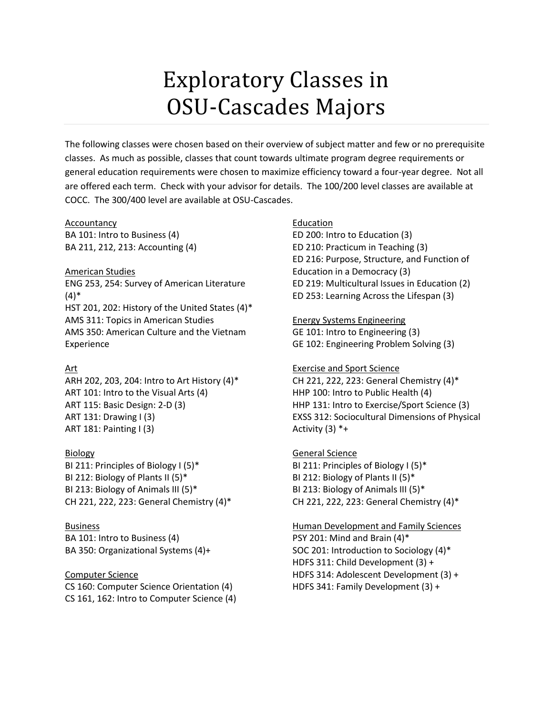# Exploratory Classes in OSU-Cascades Majors

The following classes were chosen based on their overview of subject matter and few or no prerequisite classes. As much as possible, classes that count towards ultimate program degree requirements or general education requirements were chosen to maximize efficiency toward a four-year degree. Not all are offered each term. Check with your advisor for details. The 100/200 level classes are available at COCC. The 300/400 level are available at OSU-Cascades.

#### Accountancy

BA 101: Intro to Business (4) BA 211, 212, 213: Accounting (4)

#### American Studies

ENG 253, 254: Survey of American Literature  $(4)^*$ HST 201, 202: History of the United States (4)\* AMS 311: Topics in American Studies AMS 350: American Culture and the Vietnam Experience

#### Art

ARH 202, 203, 204: Intro to Art History (4)\* ART 101: Intro to the Visual Arts (4) ART 115: Basic Design: 2-D (3) ART 131: Drawing I (3) ART 181: Painting I (3)

#### Biology

BI 211: Principles of Biology I (5)\* BI 212: Biology of Plants II (5)\* BI 213: Biology of Animals III (5)\* CH 221, 222, 223: General Chemistry (4)\*

#### Business

BA 101: Intro to Business (4) BA 350: Organizational Systems (4)+

#### Computer Science

CS 160: Computer Science Orientation (4) CS 161, 162: Intro to Computer Science (4)

#### Education

ED 200: Intro to Education (3) ED 210: Practicum in Teaching (3) ED 216: Purpose, Structure, and Function of Education in a Democracy (3) ED 219: Multicultural Issues in Education (2) ED 253: Learning Across the Lifespan (3)

## Energy Systems Engineering

GE 101: Intro to Engineering (3) GE 102: Engineering Problem Solving (3)

#### Exercise and Sport Science

CH 221, 222, 223: General Chemistry (4)\* HHP 100: Intro to Public Health (4) HHP 131: Intro to Exercise/Sport Science (3) EXSS 312: Sociocultural Dimensions of Physical Activity (3) \*+

### General Science BI 211: Principles of Biology I (5)\* BI 212: Biology of Plants II (5)\* BI 213: Biology of Animals III (5)\* CH 221, 222, 223: General Chemistry (4)\*

Human Development and Family Sciences PSY 201: Mind and Brain (4)\* SOC 201: Introduction to Sociology (4)\* HDFS 311: Child Development (3) + HDFS 314: Adolescent Development (3) + HDFS 341: Family Development (3) +